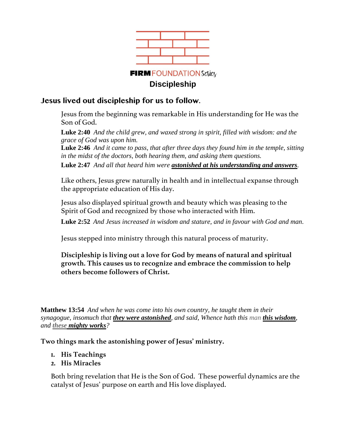

# **Jesus lived out discipleship for us to follow.**

Jesus from the beginning was remarkable in His understanding for He was the Son of God.

**Luke 2:40** *And the child grew, and waxed strong in spirit, filled with wisdom: and the grace of God was upon him.*

**Luke 2:46** *And it came to pass, that after three days they found him in the temple, sitting in the midst of the doctors, both hearing them, and asking them questions.*

**Luke 2:47** *And all that heard him were astonished at his understanding and answers.*

Like others, Jesus grew naturally in health and in intellectual expanse through the appropriate education of His day.

Jesus also displayed spiritual growth and beauty which was pleasing to the Spirit of God and recognized by those who interacted with Him.

**Luke 2:52** *And Jesus increased in wisdom and stature, and in favour with God and man.*

Jesus stepped into ministry through this natural process of maturity.

**Discipleship is living out a love for God by means of natural and spiritual growth. This causes us to recognize and embrace the commission to help others become followers of Christ.**

**Matthew 13:54** *And when he was come into his own country, he taught them in their synagogue, insomuch that they were astonished, and said, Whence hath this man this wisdom, and these mighty works?*

**Two things mark the astonishing power of Jesus' ministry.** 

- **1. His Teachings**
- **2. His Miracles**

Both bring revelation that He is the Son of God. These powerful dynamics are the catalyst of Jesus' purpose on earth and His love displayed.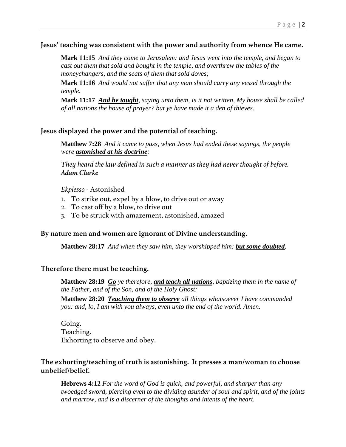### **Jesus' teaching was consistent with the power and authority from whence He came.**

**Mark 11:15** *And they come to Jerusalem: and Jesus went into the temple, and began to cast out them that sold and bought in the temple, and overthrew the tables of the moneychangers, and the seats of them that sold doves;*

**Mark 11:16** *And would not suffer that any man should carry any vessel through the temple.*

**Mark 11:17** *And he taught, saying unto them, Is it not written, My house shall be called of all nations the house of prayer? but ye have made it a den of thieves.*

## **Jesus displayed the power and the potential of teaching.**

**Matthew 7:28** *And it came to pass, when Jesus had ended these sayings, the people were astonished at his doctrine:*

*They heard the law defined in such a manner as they had never thought of before. Adam Clarke*

*Ekplesso -* Astonished

- 1. To strike out, expel by a blow, to drive out or away
- 2. To cast off by a blow, to drive out
- 3. To be struck with amazement, astonished, amazed

### **By nature men and women are ignorant of Divine understanding**.

**Matthew 28:17** *And when they saw him, they worshipped him: but some doubted.*

### **Therefore there must be teaching.**

**Matthew 28:19** *Go ye therefore, and teach all nations, baptizing them in the name of the Father, and of the Son, and of the Holy Ghost:*

**Matthew 28:20** *Teaching them to observe all things whatsoever I have commanded you: and, lo, I am with you always, even unto the end of the world. Amen.*

Going. Teaching. Exhorting to observe and obey.

## **The exhorting/teaching of truth is astonishing. It presses a man/woman to choose unbelief/belief.**

**Hebrews 4:12** *For the word of God is quick, and powerful, and sharper than any twoedged sword, piercing even to the dividing asunder of soul and spirit, and of the joints and marrow, and is a discerner of the thoughts and intents of the heart.*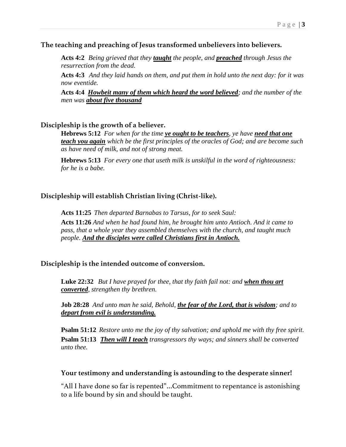## **The teaching and preaching of Jesus transformed unbelievers into believers.**

**Acts 4:2** *Being grieved that they taught the people, and preached through Jesus the resurrection from the dead.*

**Acts 4:3** *And they laid hands on them, and put them in hold unto the next day: for it was now eventide.*

**Acts 4:4** *Howbeit many of them which heard the word believed; and the number of the men was about five thousand*

## **Discipleship is the growth of a believer.**

**Hebrews 5:12** *For when for the time ye ought to be teachers, ye have need that one teach you again which be the first principles of the oracles of God; and are become such as have need of milk, and not of strong meat.*

**Hebrews 5:13** *For every one that useth milk is unskilful in the word of righteousness: for he is a babe.*

## **Discipleship will establish Christian living (Christ-like).**

**Acts 11:25** *Then departed Barnabas to Tarsus, for to seek Saul:* **Acts 11:26** *And when he had found him, he brought him unto Antioch. And it came to pass, that a whole year they assembled themselves with the church, and taught much people. And the disciples were called Christians first in Antioch.*

### **Discipleship is the intended outcome of conversion.**

**Luke 22:32** *But I have prayed for thee, that thy faith fail not: and when thou art converted, strengthen thy brethren.*

**Job 28:28** *And unto man he said, Behold, the fear of the Lord, that is wisdom; and to depart from evil is understanding.*

**Psalm 51:12** *Restore unto me the joy of thy salvation; and uphold me with thy free spirit.* **Psalm 51:13** *Then will I teach transgressors thy ways; and sinners shall be converted unto thee.*

### **Your testimony and understanding is astounding to the desperate sinner!**

"All I have done so far is repented"…Commitment to repentance is astonishing to a life bound by sin and should be taught.